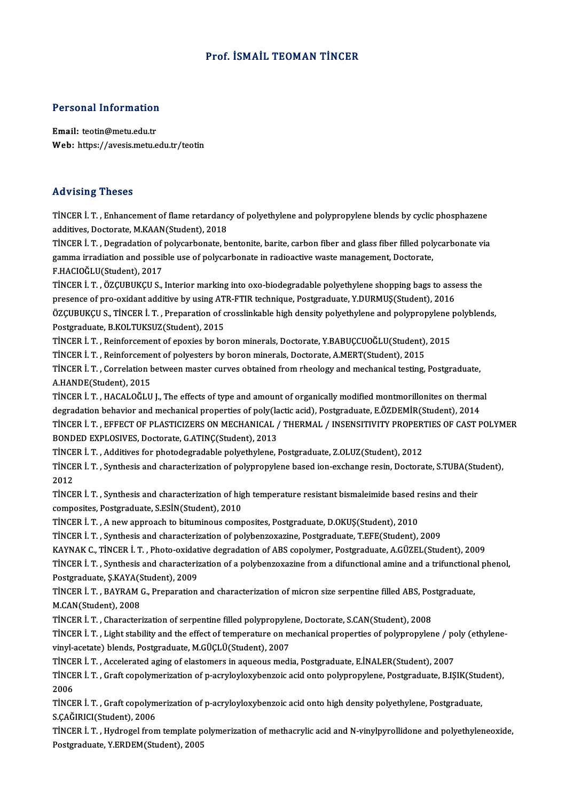# Prof. İSMAİL TEOMAN TİNCER

# Personal Information

Personal Information<br>Email: teotin@metu.edu.tr<br>Web: https://avesis.metu.e Email: teotin@metu.edu.tr<br>Web: https://avesis.metu.edu.tr/teotin

### Advising Theses

Advising Theses<br>TİNCER İ. T. , Enhancement of flame retardancy of polyethylene and polypropylene blends by cyclic phosphazene<br>additives Destarate M.KAAN(Student), 2019 rad viering a riceces<br>TİNCER İ. T. , Enhancement of flame retardanc<br>additives, Doctorate, M.KAAN(Student), 2018<br>TİNCER İ. T., Dostadation of polycarbanate b TİNCER İ. T. , Enhancement of flame retardancy of polyethylene and polypropylene blends by cyclic phosphazene<br>additives, Doctorate, M.KAAN(Student), 2018<br>TİNCER İ. T. , Degradation of polycarbonate, bentonite, barite, carb

additives, Doctorate, M.KAAN(Student), 2018<br>TİNCER İ. T. , Degradation of polycarbonate, bentonite, barite, carbon fiber and glass fiber filled poly<br>gamma irradiation and possible use of polycarbonate in radioactive waste TİNCER İ. T. , Degradation of<br>gamma irradiation and possil<br>F.HACIOĞLU(Student), 2017<br>TİNCEP İ. T. ÖZCUPUKCU S gamma irradiation and possible use of polycarbonate in radioactive waste management, Doctorate,<br>F.HACIOĞLU(Student), 2017<br>TİNCER İ. T. , ÖZÇUBUKÇU S., Interior marking into oxo-biodegradable polyethylene shopping bags to a

F.HACIOĞLU(Student), 2017<br>TİNCER İ. T. , ÖZÇUBUKÇU S., Interior marking into oxo-biodegradable polyethylene shopping bags to asse<br>presence of pro-oxidant additive by using ATR-FTIR technique, Postgraduate, Y.DURMUŞ(Student TINCER İ. T. , ÖZÇUBUKÇU S., Interior marking into oxo-biodegradable polyethylene shopping bags to assess the<br>presence of pro-oxidant additive by using ATR-FTIR technique, Postgraduate, Y.DURMUŞ(Student), 2016<br>ÖZÇUBUKÇU S. presence of pro-oxidant additive by using ATR-FTIR technique, Postgraduate, Y.DURMUŞ(Student), 2016<br>ÖZÇUBUKÇU S., TİNCER İ. T. , Preparation of crosslinkable high density polyethylene and polypropylene p<br>Postgraduate, B.KO ÖZÇUBUKÇU S., TİNCER İ. T. , Preparation of crosslinkable high density polyethylene and polypropylene<br>Postgraduate, B.KOLTUKSUZ(Student), 2015<br>TİNCER İ. T. , Reinforcement of epoxies by boron minerals, Doctorate, Y.BABUÇCU

TİNCER İ. T. , Reinforcement of epoxies by boron minerals, Doctorate, Y.BABUÇCUOĞLU(Student), 2015<br>TİNCER İ. T. , Reinforcement of polyesters by boron minerals, Doctorate, A.MERT(Student), 2015

TİNCER İ. T. , Reinforcement of epoxies by boron minerals, Doctorate, Y.BABUÇCUOĞLU(Student), 2015<br>TİNCER İ. T. , Reinforcement of polyesters by boron minerals, Doctorate, A.MERT(Student), 2015<br>TİNCER İ. T. , Correlation b TINCER I. T. , Reinforceme<br>TINCER I. T. , Correlation ł<br>A.HANDE(Student), 2015<br>TINCEP I. T. , HACALOČI II TİNCER İ. T. , Correlation between master curves obtained from rheology and mechanical testing, Postgraduate,<br>A.HANDE(Student), 2015<br>TİNCER İ. T. , HACALOĞLU J., The effects of type and amount of organically modified montm

A.HANDE(Student), 2015<br>TINCER I. T. , HACALOĞLU J., The effects of type and amount of organically modified montmorillonites on therma<br>degradation behavior and mechanical properties of poly(lactic acid), Postgraduate, E.ÖZD TİNCER İ. T. , HACALOĞLU J., The effects of type and amount of organically modified montmorillonites on thermal<br>degradation behavior and mechanical properties of poly(lactic acid), Postgraduate, E.ÖZDEMİR(Student), 2014<br>Tİ degradation behavior and mechanical properties of poly(la<br>TİNCER İ. T. , EFFECT OF PLASTICIZERS ON MECHANICAL /<br>BONDED EXPLOSIVES, Doctorate, G.ATINÇ(Student), 2013<br>TİNCER İ. T. , Additives for phatodogradabla polyatbulana TİNCER İ. T. , EFFECT OF PLASTICIZERS ON MECHANICAL / THERMAL / INSENSITIVITY PROPER'<br>BONDED EXPLOSIVES, Doctorate, G.ATINÇ(Student), 2013<br>TİNCER İ. T. , Additives for photodegradable polyethylene, Postgraduate, Z.OLUZ(Stu

BONDED EXPLOSIVES, Doctorate, G.ATINÇ(Student), 2013<br>TİNCER İ. T. , Additives for photodegradable polyethylene, Postgraduate, Z.OLUZ(Student), 2012<br>TİNCER İ. T. , Synthesis and characterization of polypropylene based ion-e TINCE<br>TINCE<br>2012<br>TINCE TİNCER İ. T. , Synthesis and characterization of polypropylene based ion-exchange resin, Doctorate, S.TUBA(Stu<br>2012<br>TİNCER İ. T. , Synthesis and characterization of high temperature resistant bismaleimide based resins and

2012<br>TİNCER İ. T. , Synthesis and characterization of hig<br>composites, Postgraduate, S.ESİN(Student), 2010<br>TİNCER İ. T. A nov annroash to bitumineys samı TİNCER İ. T. , Synthesis and characterization of high temperature resistant bismaleimide based r<br>composites, Postgraduate, S.ESİN(Student), 2010<br>TİNCER İ. T. , A new approach to bituminous composites, Postgraduate, D.OKUŞ( composites, Postgraduate, S.ESİN(Student), 2010<br>TİNCER İ. T. , A new approach to bituminous composites, Postgraduate, D.OKUŞ(Student), 2010<br>TİNCER İ. T. , Synthesis and characterization of polybenzoxazine, Postgraduate, T.

TINCER İ. T. , A new approach to bituminous composites, Postgraduate, D.OKUŞ(Student), 2010<br>TINCER İ. T. , Synthesis and characterization of polybenzoxazine, Postgraduate, T.EFE(Student), 2009<br>KAYNAK C., TINCER İ. T. , Pho

TİNCER İ. T. , Synthesis and characterization of polybenzoxazine, Postgraduate, T.EFE(Student), 2009<br>KAYNAK C., TİNCER İ. T. , Photo-oxidative degradation of ABS copolymer, Postgraduate, A.GÜZEL(Student), 2009<br>TİNCER İ. T. KAYNAK C., TİNCER İ. T. , Photo-oxidat<br>TİNCER İ. T. , Synthesis and characteriz<br>Postgraduate, Ş.KAYA(Student), 2009<br>TİNCER İ. T., RAYRAM C., Proporation TİNCER İ. T. , Synthesis and characterization of a polybenzoxazine from a difunctional amine and a trifunctiona<br>Postgraduate, Ş.KAYA(Student), 2009<br>TİNCER İ. T. , BAYRAM G., Preparation and characterization of micron size

Postgraduate, Ş.KAYA(S<br>TİNCER İ. T. , BAYRAM (<br>M.CAN(Student), 2008<br>TİNCER İ. T. , Charastarı TİNCER İ. T. , BAYRAM G., Preparation and characterization of micron size serpentine filled ABS, Pos<br>M.CAN(Student), 2008<br>TİNCER İ. T. , Characterization of serpentine filled polypropylene, Doctorate, S.CAN(Student), 2008<br>

M.CAN(Student), 2008<br>TİNCER İ. T. , Characterization of serpentine filled polypropylene, Doctorate, S.CAN(Student), 2008<br>TİNCER İ. T. , Light stability and the effect of temperature on mechanical properties of polypropylen TINCER İ. T. , Characterization of serpentine filled polypropylene, Doctorate, S.CAN(Student), 2008<br>TINCER İ. T. , Light stability and the effect of temperature on mechanical properties of polypropyle<br>vinyl-acetate) blends TİNCER İ. T. , Light stability and the effect of temperature on mechanical properties of polypropylene / pc<br>vinyl-acetate) blends, Postgraduate, M.GÜÇLÜ(Student), 2007<br>TİNCER İ. T. , Accelerated aging of elastomers in aque

vinyl-acetate) blends, Postgraduate, M.GÜÇLÜ(Student), 2007<br>TİNCER İ. T. , Accelerated aging of elastomers in aqueous media, Postgraduate, E.İNALER(Student), 2007<br>TİNCER İ. T. , Graft copolymerization of p-acryloyloxybenzo TINCER I. T. , Accelerated aging of elastomers in aqueous media, Postgraduate, E.İNALER(Student), 2007<br>TINCER I. T. , Graft copolymerization of p-acryloyloxybenzoic acid onto polypropylene, Postgraduate, B.IŞ<br>2006 TİNCER İ. T. , Graft copolymerization of p-acryloyloxybenzoic acid onto polypropylene, Postgraduate, B.IŞIK(Stud<br>2006<br>TİNCER İ. T. , Graft copolymerization of p-acryloyloxybenzoic acid onto high density polyethylene, Postg

TİNCER İ. T., Graft copolymerization of p-acryloyloxybenzoic acid onto high density polyethylene, Postgraduate,<br>S.CAĞIRICI(Student), 2006 TİNCER İ. T. , Graft copolymerization of p-acryloyloxybenzoic acid onto high density polyethylene, Postgraduate,<br>S.ÇAĞIRICI(Student), 2006<br>TİNCER İ. T. , Hydrogel from template polymerization of methacrylic acid and N-viny

S.ÇAĞIRICI(Student), 2006<br>TİNCER İ. T. , Hydrogel from template p<br>Postgraduate, Y.ERDEM(Student), 2005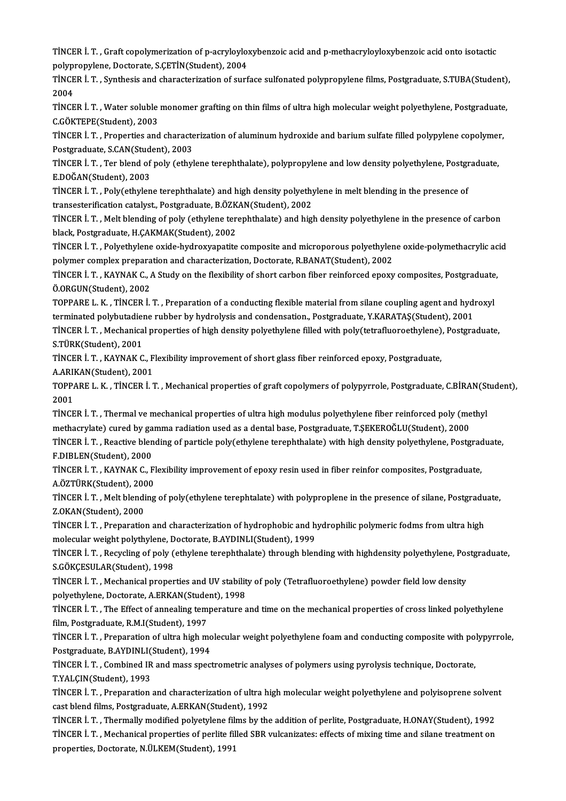TİNCER İ. T. , Graft copolymerization of p-acryloyloxybenzoic acid and p-methacryloyloxybenzoic acid onto isotactic<br>Rekynnenvlane, Dectarate, S.CETİN(Student), 2004 TİNCER İ. T. , Graft copolymerization of p-acryloylo;<br>polypropylene, Doctorate, S.ÇETİN(Student), 2004<br>TİNCER İ. T., Symthesis and shanastariyation of surf TİNCER İ. T. , Graft copolymerization of p-acryloyloxybenzoic acid and p-methacryloyloxybenzoic acid onto isotactic<br>polypropylene, Doctorate, S.ÇETİN(Student), 2004<br>TİNCER İ. T. , Synthesis and characterization of surface

10<br>2004<br>2004<br>Tince TİNCER İ. T. , Synthesis and characterization of surface sulfonated polypropylene films, Postgraduate, S.TUBA(Student)<br>2004<br>TİNCER İ. T. , Water soluble monomer grafting on thin films of ultra high molecular weight polyeth

2004<br>TİNCER İ. T. , Water soluble monomer grafting on thin films of ultra high molecular weight polyethylene, Postgraduate,<br>C.GÖKTEPE(Student), 2003 TİNCER İ. T. , Water soluble monomer grafting on thin films of ultra high molecular weight polyethylene, Postgraduate<br>C.GÖKTEPE(Student), 2003<br>TİNCER İ. T. , Properties and characterization of aluminum hydroxide and barium

C.GÖKTEPE(Student), 2003<br>TİNCER İ. T. , Properties and characte<br>Postgraduate, S.CAN(Student), 2003<br>TİNCEP İ. T., Ter bland of nolu (etbul TİNCER İ. T. , Properties and characterization of aluminum hydroxide and barium sulfate filled polypylene copolymen<br>Postgraduate, S.CAN(Student), 2003<br>TİNCER İ. T. , Ter blend of poly (ethylene terephthalate), polypropylen

Postgraduate, S.CAN(Student)<br>TiNCER İ. T. , Ter blend of<br>E.DOĞAN(Student), 2003<br>TiNCEP İ. T. - Poly(othylan TİNCER İ. T. , Ter blend of poly (ethylene terephthalate), polypropylene and low density polyethylene, Postgr<br>E.DOĞAN(Student), 2003<br>TİNCER İ. T. , Poly(ethylene terephthalate) and high density polyethylene in melt blendin

E.DOĞAN(Student), 2003<br>TİNCER İ. T. , Poly(ethylene terephthalate) and high density polyethylene in melt blending in the presence of<br>transesterification catalyst., Postgraduate, B.ÖZKAN(Student), 2002

TİNCER İ.T., Melt blending of poly (ethylene terephthalate) and high density polyethylene in the presence of carbon black, Postgraduate, H.ÇAKMAK(Student), 2002 TİNCER İ. T. , Melt blending of poly (ethylene terephthalate) and high density polyethylene in the presence of carbon<br>black, Postgraduate, H.ÇAKMAK(Student), 2002<br>TİNCER İ. T. , Polyethylene oxide-hydroxyapatite composite

black, Postgraduate, H.ÇAKMAK(Student), 2002<br>TİNCER İ. T. , Polyethylene oxide-hydroxyapatite composite and microporous polyethylen<br>polymer complex preparation and characterization, Doctorate, R.BANAT(Student), 2002<br>TİNCER TİNCER İ. T. , Polyethylene oxide-hydroxyapatite composite and microporous polyethylene oxide-polymethacrylic ac<br>polymer complex preparation and characterization, Doctorate, R.BANAT(Student), 2002<br>TİNCER İ. T. , KAYNAK C.,

polymer complex preparation and characterization, Doctorate, R.BANAT(Student), 2002<br>TINCER İ. T. , KAYNAK C., A Study on the flexibility of short carbon fiber reinforced epoxy<br>Ö.ORGUN(Student), 2002 TINCER İ. T. , KAYNAK C., A Study on the flexibility of short carbon fiber reinforced epoxy composites, Postgraduate, Ö.ORGUN(Student), 2002<br>TOPPARE L. K. , TİNCER İ. T. , Preparation of a conducting flexible material from

TOPPARE L. K., TINCER I. T., Preparation of a conducting flexible material from silane coupling agent and hydroxyl TOPPARE L. K. , TİNCER İ. T. , Preparation of a conducting flexible material from silane coupling agent and hydroxyl<br>terminated polybutadiene rubber by hydrolysis and condensation., Postgraduate, Y.KARATAŞ(Student), 2001<br>T

terminated polybutadier<br>TİNCER İ. T. , Mechanica<br>S.TÜRK(Student), 2001<br>TİNCEP İ. T. , KAYNAK C TİNCER İ. T. , Mechanical properties of high density polyethylene filled with poly(tetrafluoroethylene)<br>S.TÜRK(Student), 2001<br>TİNCER İ. T. , KAYNAK C., Flexibility improvement of short glass fiber reinforced epoxy, Postgra

S.TÜRK(Student), 2001<br>TİNCER İ. T. , KAYNAK C., Flexibility improvement of short glass fiber reinforced epoxy, Postgraduate,<br>A.ARIKAN(Student), 2001

TİNCER İ. T. , KAYNAK C., Flexibility improvement of short glass fiber reinforced epoxy, Postgraduate,<br>A.ARIKAN(Student), 2001<br>TOPPARE L. K. , TİNCER İ. T. , Mechanical properties of graft copolymers of polypyrrole, Postgr A.ARI<br>TOPP/<br>2001<br>Tince TOPPARE L. K. , TİNCER İ. T. , Mechanical properties of graft copolymers of polypyrrole, Postgraduate, C.BİRAN(St<br>2001<br>TİNCER İ. T. , Thermal ve mechanical properties of ultra high modulus polyethylene fiber reinforced pol

2001<br>TİNCER İ. T. , Thermal ve mechanical properties of ultra high modulus polyethylene fiber reinforced poly (methyl<br>methacrylate) cured by gamma radiation used as a dental base, Postgraduate, T.ŞEKEROĞLU(Student), 2000 TİNCER İ. T. , Thermal ve mechanical properties of ultra high modulus polyethylene fiber reinforced poly (methyl<br>methacrylate) cured by gamma radiation used as a dental base, Postgraduate, T.ŞEKEROĞLU(Student), 2000<br>TİNCER

methacrylate) cured by ga<br>TİNCER İ. T. , Reactive blen<br>F.DIBLEN(Student), 2000<br>TİNCER İ. T. KAYNAK C. E TİNCER İ. T. , Reactive blending of particle poly(ethylene terephthalate) with high density polyethylene, Postgrad<br>F.DIBLEN(Student), 2000<br>TİNCER İ. T. , KAYNAK C., Flexibility improvement of epoxy resin used in fiber rein

F.DIBLEN(Student), 2000<br>TİNCER İ. T. , KAYNAK C., Flexibility improvement of epoxy resin used in fiber reinfor composites, Postgraduate,<br>A.ÖZTÜRK(Student), 2000 TİNCER İ. T. , KAYNAK C., Flexibility improvement of epoxy resin used in fiber reinfor composites, Postgraduate,<br>A.ÖZTÜRK(Student), 2000<br>TİNCER İ. T. , Melt blending of poly(ethylene terephtalate) with polyproplene in the

A.ÖZTÜRK(Student), 200<br>TİNCER İ. T. , Melt blendi<br>Z.OKAN(Student), 2000<br>TİNCER İ. T. , Properatio TİNCER İ. T. , Melt blending of poly(ethylene terephtalate) with polyproplene in the presence of silane, Postgradu<br>Z.OKAN(Student), 2000<br>TİNCER İ. T. , Preparation and characterization of hydrophobic and hydrophilic polyme

Z.OKAN(Student), 2000<br>TİNCER İ. T. , Preparation and characterization of hydrophobic and h<br>molecular weight polythylene, Doctorate, B.AYDINLI(Student), 1999<br>TİNCER İ. T., Rosyaling of noly (stavlana taranattalata) tarayat TİNCER İ. T. , Preparation and characterization of hydrophobic and hydrophilic polymeric fodms from ultra high<br>molecular weight polythylene, Doctorate, B.AYDINLI(Student), 1999<br>TİNCER İ. T. , Recycling of poly (ethylene te

molecular weight polythylene, Doctorate, B.AYDINLI(Student), 1999<br>TİNCER İ. T. , Recycling of poly (ethylene terephthalate) through bler<br>S.GÖKÇESULAR(Student), 1998 TİNCER İ. T. , Recycling of poly (ethylene terephthalate) through blending with highdensity polyethylene, Postgraduate, S.GÖKÇESULAR(Student), 1998<br>TİNCER İ. T. , Mechanical properties and UV stability of poly (Tetrafluoro

TINCER I. T., Mechanical properties and UV stability of poly (Tetrafluoroethylene) powder field low density TİNCER İ. T. , Mechanical properties and UV stability of poly (Tetrafluoroethylene) powder field low density<br>polyethylene, Doctorate, A.ERKAN(Student), 1998<br>TİNCER İ. T. , The Effect of annealing temperature and time on th

polyethylene, Doctorate, A.ERKAN(Stude<br>TİNCER İ. T. , The Effect of annealing tem<br>film, Postgraduate, R.M.I(Student), 1997<br>TİNCER İ. T., Proparation of ultre birb m TİNCER İ. T. , The Effect of annealing temperature and time on the mechanical properties of cross linked polyethylene<br>film, Postgraduate, R.M.I(Student), 1997<br>TİNCER İ. T. , Preparation of ultra high molecular weight polye

film, Postgraduate, R.M.I(Student), 1997<br>TİNCER İ. T. , Preparation of ultra high mo<br>Postgraduate, B.AYDINLI(Student), 1994<br>TİNCER İ. T. Combined IR and mass speci TİNCER İ. T. , Preparation of ultra high molecular weight polyethylene foam and conducting composite with pol<br>Postgraduate, B.AYDINLI(Student), 1994<br>TİNCER İ. T. , Combined IR and mass spectrometric analyses of polymers us

Postgraduate, B.AYDINLI(Student), 1994<br>TINCER İ. T. , Combined IR and mass spectrometric analyses of polymers using pyrolysis technique, Doctorate,<br>T.YALÇIN(Student), 1993 TİNCER İ. T. , Combined IR and mass spectrometric analyses of polymers using pyrolysis technique, Doctorate,<br>T.YALÇIN(Student), 1993<br>TİNCER İ. T. , Preparation and characterization of ultra high molecular weight polyethyle

T.YALÇIN(Student), 1993<br>TİNCER İ. T. , Preparation and characterization of ultra hi<br>cast blend films, Postgraduate, A.ERKAN(Student), 1992<br>TİNCER İ. T., Thermally medified nelyatylane filme by the TİNCER İ. T. , Preparation and characterization of ultra high molecular weight polyethylene and polyisoprene solven<br>cast blend films, Postgraduate, A.ERKAN(Student), 1992<br>TİNCER İ. T. , Thermally modified polyetylene films

cast blend films, Postgraduate, A.ERKAN(Student), 1992<br>TİNCER İ. T. , Thermally modified polyetylene films by the addition of perlite, Postgraduate, H.ONAY(Student), 1992<br>TİNCER İ. T. , Mechanical properties of perlite fil TİNCER İ. T. , Thermally modified polyetylene fil:<br>TİNCER İ. T. , Mechanical properties of perlite fil<br>properties, Doctorate, N.ÜLKEM(Student), 1991